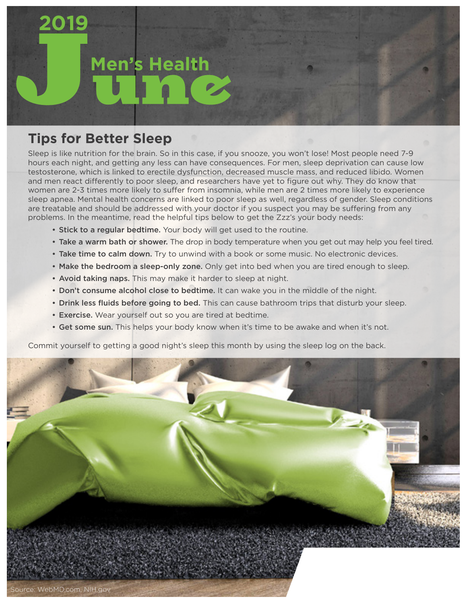## **Men's Health**

## **Tips for Better Sleep**

**2019**

Sleep is like nutrition for the brain. So in this case, if you snooze, you won't lose! Most people need 7-9 hours each night, and getting any less can have consequences. For men, sleep deprivation can cause low testosterone, which is linked to erectile dysfunction, decreased muscle mass, and reduced libido. Women and men react differently to poor sleep, and researchers have yet to figure out why. They do know that women are 2-3 times more likely to suffer from insomnia, while men are 2 times more likely to experience sleep apnea. Mental health concerns are linked to poor sleep as well, regardless of gender. Sleep conditions are treatable and should be addressed with your doctor if you suspect you may be suffering from any problems. In the meantime, read the helpful tips below to get the Zzz's your body needs:

- Stick to a regular bedtime. Your body will get used to the routine.
- Take a warm bath or shower. The drop in body temperature when you get out may help you feel tired.
- Take time to calm down. Try to unwind with a book or some music. No electronic devices.
- Make the bedroom a sleep-only zone. Only get into bed when you are tired enough to sleep.
- Avoid taking naps. This may make it harder to sleep at night.
- Don't consume alcohol close to bedtime. It can wake you in the middle of the night.
- Drink less fluids before going to bed. This can cause bathroom trips that disturb your sleep.
- Exercise. Wear yourself out so you are tired at bedtime.
- Get some sun. This helps your body know when it's time to be awake and when it's not.

Commit yourself to getting a good night's sleep this month by using the sleep log on the back.